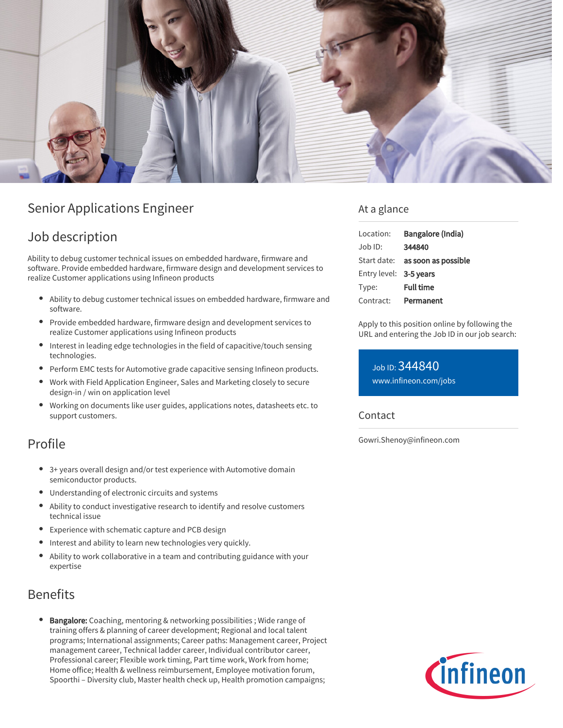

# Senior Applications Engineer

## Job description

Ability to debug customer technical issues on embedded hardware, firmware and software. Provide embedded hardware, firmware design and development services to realize Customer applications using Infineon products

- $\bullet$ Ability to debug customer technical issues on embedded hardware, firmware and software.
- Provide embedded hardware, firmware design and development services to realize Customer applications using Infineon products
- Interest in leading edge technologies in the field of capacitive/touch sensing technologies.
- Perform EMC tests for Automotive grade capacitive sensing Infineon products.
- Work with Field Application Engineer, Sales and Marketing closely to secure design-in / win on application level
- Working on documents like user guides, applications notes, datasheets etc. to support customers.

## Profile

- 3+ years overall design and/or test experience with Automotive domain semiconductor products.
- Understanding of electronic circuits and systems
- $\bullet$ Ability to conduct investigative research to identify and resolve customers technical issue
- Experience with schematic capture and PCB design
- Interest and ability to learn new technologies very quickly.
- Ability to work collaborative in a team and contributing guidance with your expertise

## Benefits

Bangalore: Coaching, mentoring & networking possibilities ; Wide range of training offers & planning of career development; Regional and local talent programs; International assignments; Career paths: Management career, Project management career, Technical ladder career, Individual contributor career, Professional career; Flexible work timing, Part time work, Work from home; Home office; Health & wellness reimbursement, Employee motivation forum, Spoorthi – Diversity club, Master health check up, Health promotion campaigns;

### At a glance

| Location:              | Bangalore (India)               |
|------------------------|---------------------------------|
| Job ID:                | 344840                          |
|                        | Start date: as soon as possible |
| Entry level: 3-5 years |                                 |
| Type:                  | <b>Full time</b>                |
| Contract:              | Permanent                       |

Apply to this position online by following the URL and entering the Job ID in our job search:

Job ID: 344840 [www.infineon.com/jobs](https://www.infineon.com/jobs)

Contact

Gowri.Shenoy@infineon.com